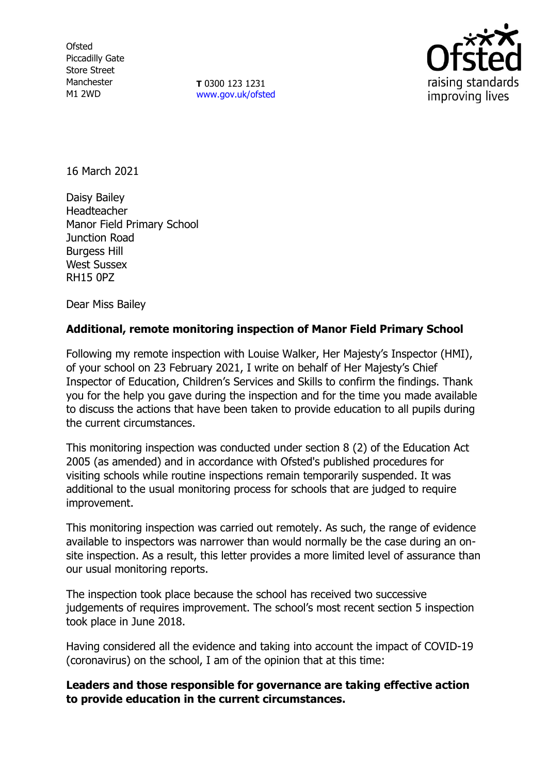**Ofsted** Piccadilly Gate Store Street Manchester M1 2WD

**T** 0300 123 1231 [www.gov.uk/ofsted](http://www.gov.uk/ofsted)



16 March 2021

Daisy Bailey Headteacher Manor Field Primary School Junction Road Burgess Hill West Sussex RH15 0PZ

Dear Miss Bailey

# **Additional, remote monitoring inspection of Manor Field Primary School**

Following my remote inspection with Louise Walker, Her Majesty's Inspector (HMI), of your school on 23 February 2021, I write on behalf of Her Majesty's Chief Inspector of Education, Children's Services and Skills to confirm the findings. Thank you for the help you gave during the inspection and for the time you made available to discuss the actions that have been taken to provide education to all pupils during the current circumstances.

This monitoring inspection was conducted under section 8 (2) of the Education Act 2005 (as amended) and in accordance with Ofsted's published procedures for visiting schools while routine inspections remain temporarily suspended. It was additional to the usual monitoring process for schools that are judged to require improvement.

This monitoring inspection was carried out remotely. As such, the range of evidence available to inspectors was narrower than would normally be the case during an onsite inspection. As a result, this letter provides a more limited level of assurance than our usual monitoring reports.

The inspection took place because the school has received two successive judgements of requires improvement. The school's most recent section 5 inspection took place in June 2018.

Having considered all the evidence and taking into account the impact of COVID-19 (coronavirus) on the school, I am of the opinion that at this time:

# **Leaders and those responsible for governance are taking effective action to provide education in the current circumstances.**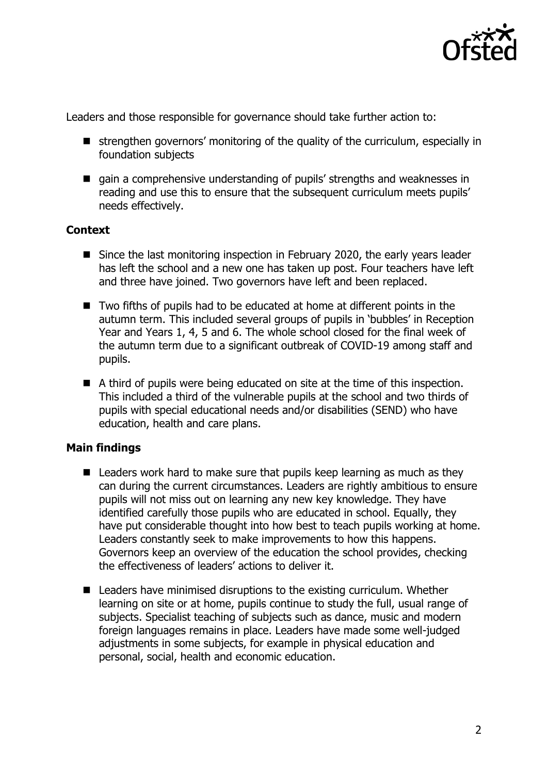

Leaders and those responsible for governance should take further action to:

- strengthen governors' monitoring of the quality of the curriculum, especially in foundation subjects
- qain a comprehensive understanding of pupils' strengths and weaknesses in reading and use this to ensure that the subsequent curriculum meets pupils' needs effectively.

# **Context**

- Since the last monitoring inspection in February 2020, the early years leader has left the school and a new one has taken up post. Four teachers have left and three have joined. Two governors have left and been replaced.
- Two fifths of pupils had to be educated at home at different points in the autumn term. This included several groups of pupils in 'bubbles' in Reception Year and Years 1, 4, 5 and 6. The whole school closed for the final week of the autumn term due to a significant outbreak of COVID-19 among staff and pupils.
- A third of pupils were being educated on site at the time of this inspection. This included a third of the vulnerable pupils at the school and two thirds of pupils with special educational needs and/or disabilities (SEND) who have education, health and care plans.

# **Main findings**

- $\blacksquare$  Leaders work hard to make sure that pupils keep learning as much as they can during the current circumstances. Leaders are rightly ambitious to ensure pupils will not miss out on learning any new key knowledge. They have identified carefully those pupils who are educated in school. Equally, they have put considerable thought into how best to teach pupils working at home. Leaders constantly seek to make improvements to how this happens. Governors keep an overview of the education the school provides, checking the effectiveness of leaders' actions to deliver it.
- Leaders have minimised disruptions to the existing curriculum. Whether learning on site or at home, pupils continue to study the full, usual range of subjects. Specialist teaching of subjects such as dance, music and modern foreign languages remains in place. Leaders have made some well-judged adjustments in some subjects, for example in physical education and personal, social, health and economic education.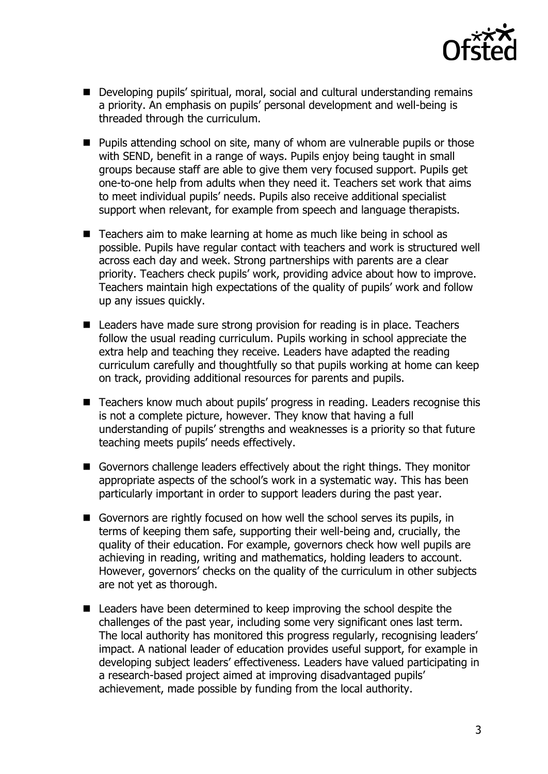

- Developing pupils' spiritual, moral, social and cultural understanding remains a priority. An emphasis on pupils' personal development and well-being is threaded through the curriculum.
- **Pupils attending school on site, many of whom are vulnerable pupils or those** with SEND, benefit in a range of ways. Pupils enjoy being taught in small groups because staff are able to give them very focused support. Pupils get one-to-one help from adults when they need it. Teachers set work that aims to meet individual pupils' needs. Pupils also receive additional specialist support when relevant, for example from speech and language therapists.
- Teachers aim to make learning at home as much like being in school as possible. Pupils have regular contact with teachers and work is structured well across each day and week. Strong partnerships with parents are a clear priority. Teachers check pupils' work, providing advice about how to improve. Teachers maintain high expectations of the quality of pupils' work and follow up any issues quickly.
- Leaders have made sure strong provision for reading is in place. Teachers follow the usual reading curriculum. Pupils working in school appreciate the extra help and teaching they receive. Leaders have adapted the reading curriculum carefully and thoughtfully so that pupils working at home can keep on track, providing additional resources for parents and pupils.
- Teachers know much about pupils' progress in reading. Leaders recognise this is not a complete picture, however. They know that having a full understanding of pupils' strengths and weaknesses is a priority so that future teaching meets pupils' needs effectively.
- Governors challenge leaders effectively about the right things. They monitor appropriate aspects of the school's work in a systematic way. This has been particularly important in order to support leaders during the past year.
- Governors are rightly focused on how well the school serves its pupils, in terms of keeping them safe, supporting their well-being and, crucially, the quality of their education. For example, governors check how well pupils are achieving in reading, writing and mathematics, holding leaders to account. However, governors' checks on the quality of the curriculum in other subjects are not yet as thorough.
- Leaders have been determined to keep improving the school despite the challenges of the past year, including some very significant ones last term. The local authority has monitored this progress regularly, recognising leaders' impact. A national leader of education provides useful support, for example in developing subject leaders' effectiveness. Leaders have valued participating in a research-based project aimed at improving disadvantaged pupils' achievement, made possible by funding from the local authority.